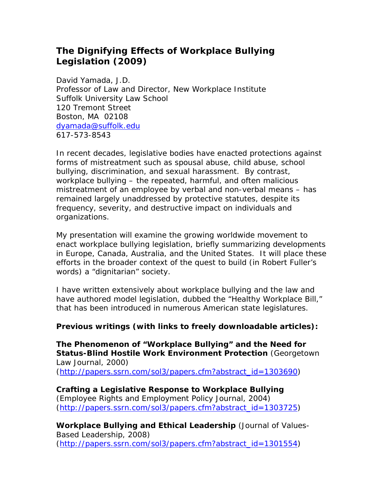## *The Dignifying Effects of Workplace Bullying Legislation* **(2009)**

David Yamada, J.D. Professor of Law and Director, New Workplace Institute Suffolk University Law School 120 Tremont Street Boston, MA 02108 [dyamada@suffolk.edu](mailto:dyamada@suffolk.edu) 617-573-8543

In recent decades, legislative bodies have enacted protections against forms of mistreatment such as spousal abuse, child abuse, school bullying, discrimination, and sexual harassment. By contrast, workplace bullying – the repeated, harmful, and often malicious mistreatment of an employee by verbal and non-verbal means – has remained largely unaddressed by protective statutes, despite its frequency, severity, and destructive impact on individuals and organizations.

My presentation will examine the growing worldwide movement to enact workplace bullying legislation, briefly summarizing developments in Europe, Canada, Australia, and the United States. It will place these efforts in the broader context of the quest to build (in Robert Fuller's words) a "dignitarian" society.

I have written extensively about workplace bullying and the law and have authored model legislation, dubbed the "Healthy Workplace Bill," that has been introduced in numerous American state legislatures.

## *Previous writings (with links to freely downloadable articles):*

**The Phenomenon of "Workplace Bullying" and the Need for Status-Blind Hostile Work Environment Protection** (*Georgetown Law Journal*, 2000) [\(http://papers.ssrn.com/sol3/papers.cfm?abstract\\_id=1303690\)](http://papers.ssrn.com/sol3/papers.cfm?abstract_id=1303690)

**Crafting a Legislative Response to Workplace Bullying** (*Employee Rights and Employment Policy Journal*, 2004) [\(http://papers.ssrn.com/sol3/papers.cfm?abstract\\_id=1303725\)](http://papers.ssrn.com/sol3/papers.cfm?abstract_id=1303725)

**Workplace Bullying and Ethical Leadership** (*Journal of Values-Based Leadership*, 2008) [\(http://papers.ssrn.com/sol3/papers.cfm?abstract\\_id=1301554\)](http://papers.ssrn.com/sol3/papers.cfm?abstract_id=1301554)